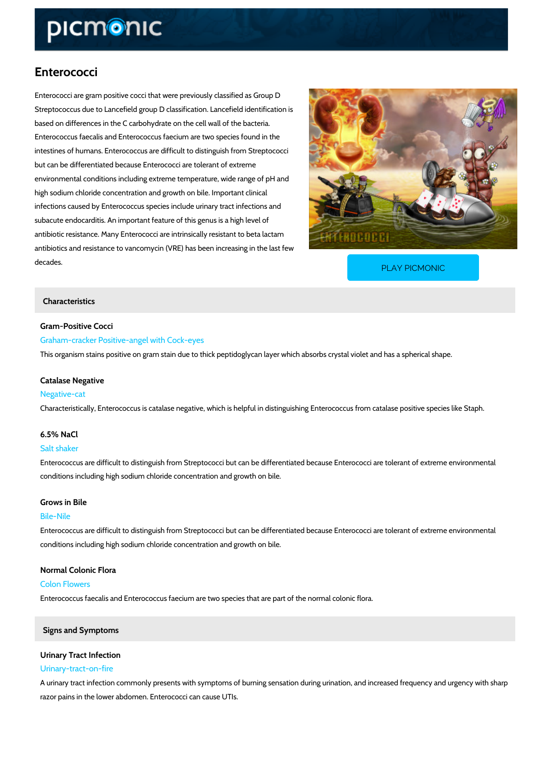# Enterococci

Enterococci are gram positive cocci that were previously classified as Group D Streptococcus due to Lancefield group D classification. Lancefield identification is based on differences in the C carbohydrate on the cell wall of the bacteria. Enterococcus faecalis and Enterococcus faecium are two species found in the intestines of humans. Enterococcus are difficult to distinguish from Streptococci but can be differentiated because Enterococci are tolerant of extreme environmental conditions including extreme temperature, wide range of pH and high sodium chloride concentration and growth on bile. Important clinical infections caused by Enterococcus species include urinary tract infections and subacute endocarditis. An important feature of this genus is a high level of antibiotic resistance. Many Enterococci are intrinsically resistant to beta lactam antibiotics and resistance to vancomycin (VRE) has been increasing in the last few decades.

[PLAY PICMONIC](https://www.picmonic.com/learn/enterococci_219?utm_source=downloadable_content&utm_medium=distributedcontent&utm_campaign=pathways_pdf&utm_content=Enterococci&utm_ad_group=leads&utm_market=all)

## Characteristics

Gram-Positive Cocci

Graham-cracker Positive-angel with Cock-eyes

This organism stains positive on gram stain due to thick peptidoglycan layer which absorbs cr

## Catalase Negative Negative-cat

Characteristically, Enterococcus is catalase negative, which is helpful in distinguishing Enter

## 6.5% NaCl

Salt shaker

Enterococcus are difficult to distinguish from Streptococci but can be differentiated because conditions including high sodium chloride concentration and growth on bile.

## Grows in Bile

## Bile-Nile

Enterococcus are difficult to distinguish from Streptococci but can be differentiated because conditions including high sodium chloride concentration and growth on bile.

Normal Colonic Flora Colon Flowers Enterococcus faecalis and Enterococcus faecium are two species that are part of the normal c

## Signs and Symptoms

## Urinary Tract Infection Urinary-tract-on-fire

A urinary tract infection commonly presents with symptoms of burning sensation during urinati razor pains in the lower abdomen. Enterococci can cause UTIs.